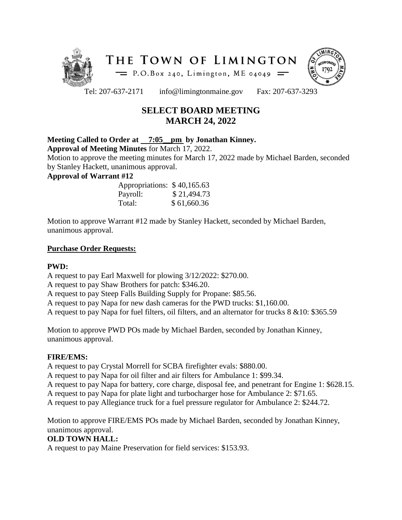



Tel: 207-637-2171 info@limingtonmaine.gov Fax: 207-637-3293

# **SELECT BOARD MEETING MARCH 24, 2022**

## **Meeting Called to Order at 7:05\_\_pm by Jonathan Kinney.**

**Approval of Meeting Minutes** for March 17, 2022.

Motion to approve the meeting minutes for March 17, 2022 made by Michael Barden, seconded by Stanley Hackett, unanimous approval.

## **Approval of Warrant #12**

| Appropriations: \$40,165.63 |             |
|-----------------------------|-------------|
| Payroll:                    | \$21,494.73 |
| Total:                      | \$61,660.36 |

Motion to approve Warrant #12 made by Stanley Hackett, seconded by Michael Barden, unanimous approval.

## **Purchase Order Requests:**

## **PWD:**

A request to pay Earl Maxwell for plowing 3/12/2022: \$270.00.

A request to pay Shaw Brothers for patch: \$346.20.

A request to pay Steep Falls Building Supply for Propane: \$85.56.

A request to pay Napa for new dash cameras for the PWD trucks: \$1,160.00.

A request to pay Napa for fuel filters, oil filters, and an alternator for trucks 8 &10: \$365.59

Motion to approve PWD POs made by Michael Barden, seconded by Jonathan Kinney, unanimous approval.

## **FIRE/EMS:**

A request to pay Crystal Morrell for SCBA firefighter evals: \$880.00.

A request to pay Napa for oil filter and air filters for Ambulance 1: \$99.34.

A request to pay Napa for battery, core charge, disposal fee, and penetrant for Engine 1: \$628.15.

A request to pay Napa for plate light and turbocharger hose for Ambulance 2: \$71.65.

A request to pay Allegiance truck for a fuel pressure regulator for Ambulance 2: \$244.72.

Motion to approve FIRE/EMS POs made by Michael Barden, seconded by Jonathan Kinney, unanimous approval.

## **OLD TOWN HALL:**

A request to pay Maine Preservation for field services: \$153.93.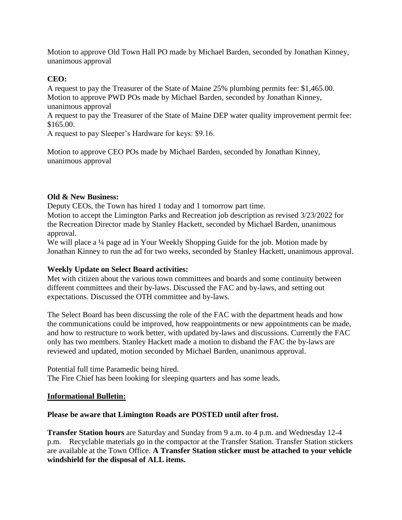Motion to approve Old Town Hall PO made by Michael Barden, seconded by Jonathan Kinney, unanimous approval

## **CEO:**

A request to pay the Treasurer of the State of Maine 25% plumbing permits fee: \$1,465.00. Motion to approve PWD POs made by Michael Barden, seconded by Jonathan Kinney, unanimous approval

A request to pay the Treasurer of the State of Maine DEP water quality improvement permit fee: \$165.00.

A request to pay Sleeper's Hardware for keys: \$9.16.

Motion to approve CEO POs made by Michael Barden, seconded by Jonathan Kinney, unanimous approval

#### **Old & New Business:**

Deputy CEOs, the Town has hired 1 today and 1 tomorrow part time.

Motion to accept the Limington Parks and Recreation job description as revised 3/23/2022 for the Recreation Director made by Stanley Hackett, seconded by Michael Barden, unanimous approval.

We will place a <sup>1</sup>/4 page ad in Your Weekly Shopping Guide for the job. Motion made by Jonathan Kinney to run the ad for two weeks, seconded by Stanley Hackett, unanimous approval.

## **Weekly Update on Select Board activities:**

Met with citizen about the various town committees and boards and some continuity between different committees and their by-laws. Discussed the FAC and by-laws, and setting out expectations. Discussed the OTH committee and by-laws.

The Select Board has been discussing the role of the FAC with the department heads and how the communications could be improved, how reappointments or new appointments can be made, and how to restructure to work better, with updated by-laws and discussions. Currently the FAC only has two members. Stanley Hackett made a motion to disband the FAC the by-laws are reviewed and updated, motion seconded by Michael Barden, unanimous approval.

Potential full time Paramedic being hired. The Fire Chief has been looking for sleeping quarters and has some leads.

#### **Informational Bulletin:**

#### **Please be aware that Limington Roads are POSTED until after frost.**

**Transfer Station hours** are Saturday and Sunday from 9 a.m. to 4 p.m. and Wednesday 12-4 p.m. Recyclable materials go in the compactor at the Transfer Station. Transfer Station stickers are available at the Town Office. **A Transfer Station sticker must be attached to your vehicle windshield for the disposal of ALL items.**